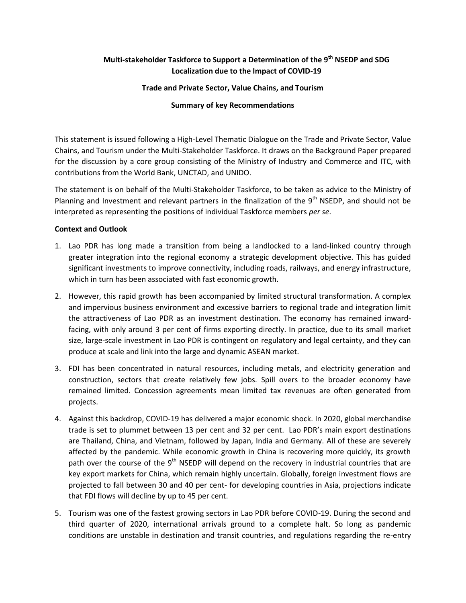## **Multi-stakeholder Taskforce to Support a Determination of the 9th NSEDP and SDG Localization due to the Impact of COVID-19**

#### **Trade and Private Sector, Value Chains, and Tourism**

### **Summary of key Recommendations**

This statement is issued following a High-Level Thematic Dialogue on the Trade and Private Sector, Value Chains, and Tourism under the Multi-Stakeholder Taskforce. It draws on the Background Paper prepared for the discussion by a core group consisting of the Ministry of Industry and Commerce and ITC, with contributions from the World Bank, UNCTAD, and UNIDO.

The statement is on behalf of the Multi-Stakeholder Taskforce, to be taken as advice to the Ministry of Planning and Investment and relevant partners in the finalization of the 9<sup>th</sup> NSEDP, and should not be interpreted as representing the positions of individual Taskforce members *per se*.

#### **Context and Outlook**

- 1. Lao PDR has long made a transition from being a landlocked to a land-linked country through greater integration into the regional economy a strategic development objective. This has guided significant investments to improve connectivity, including roads, railways, and energy infrastructure, which in turn has been associated with fast economic growth.
- 2. However, this rapid growth has been accompanied by limited structural transformation. A complex and impervious business environment and excessive barriers to regional trade and integration limit the attractiveness of Lao PDR as an investment destination. The economy has remained inwardfacing, with only around 3 per cent of firms exporting directly. In practice, due to its small market size, large-scale investment in Lao PDR is contingent on regulatory and legal certainty, and they can produce at scale and link into the large and dynamic ASEAN market.
- 3. FDI has been concentrated in natural resources, including metals, and electricity generation and construction, sectors that create relatively few jobs. Spill overs to the broader economy have remained limited. Concession agreements mean limited tax revenues are often generated from projects.
- 4. Against this backdrop, COVID-19 has delivered a major economic shock. In 2020, global merchandise trade is set to plummet between 13 per cent and 32 per cent. Lao PDR's main export destinations are Thailand, China, and Vietnam, followed by Japan, India and Germany. All of these are severely affected by the pandemic. While economic growth in China is recovering more quickly, its growth path over the course of the  $9<sup>th</sup>$  NSEDP will depend on the recovery in industrial countries that are key export markets for China, which remain highly uncertain. Globally, foreign investment flows are projected to fall between 30 and 40 per cent- for developing countries in Asia, projections indicate that FDI flows will decline by up to 45 per cent.
- 5. Tourism was one of the fastest growing sectors in Lao PDR before COVID-19. During the second and third quarter of 2020, international arrivals ground to a complete halt. So long as pandemic conditions are unstable in destination and transit countries, and regulations regarding the re-entry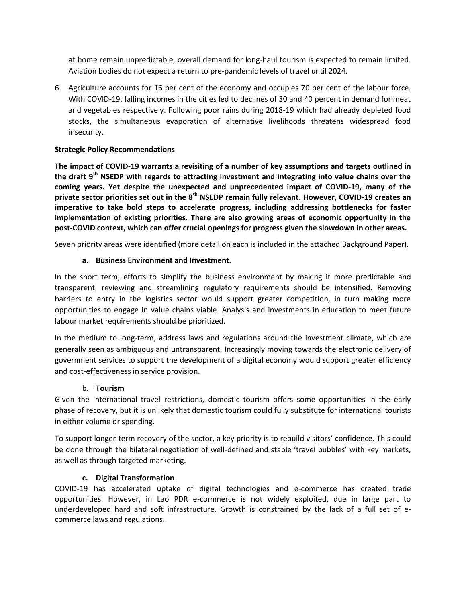at home remain unpredictable, overall demand for long-haul tourism is expected to remain limited. Aviation bodies do not expect a return to pre-pandemic levels of travel until 2024.

6. Agriculture accounts for 16 per cent of the economy and occupies 70 per cent of the labour force. With COVID-19, falling incomes in the cities led to declines of 30 and 40 percent in demand for meat and vegetables respectively. Following poor rains during 2018-19 which had already depleted food stocks, the simultaneous evaporation of alternative livelihoods threatens widespread food insecurity.

## **Strategic Policy Recommendations**

**The impact of COVID-19 warrants a revisiting of a number of key assumptions and targets outlined in the draft 9th NSEDP with regards to attracting investment and integrating into value chains over the coming years. Yet despite the unexpected and unprecedented impact of COVID-19, many of the private sector priorities set out in the 8th NSEDP remain fully relevant. However, COVID-19 creates an imperative to take bold steps to accelerate progress, including addressing bottlenecks for faster implementation of existing priorities. There are also growing areas of economic opportunity in the post-COVID context, which can offer crucial openings for progress given the slowdown in other areas.**

Seven priority areas were identified (more detail on each is included in the attached Background Paper).

### **a. Business Environment and Investment.**

In the short term, efforts to simplify the business environment by making it more predictable and transparent, reviewing and streamlining regulatory requirements should be intensified. Removing barriers to entry in the logistics sector would support greater competition, in turn making more opportunities to engage in value chains viable. Analysis and investments in education to meet future labour market requirements should be prioritized.

In the medium to long-term, address laws and regulations around the investment climate, which are generally seen as ambiguous and untransparent. Increasingly moving towards the electronic delivery of government services to support the development of a digital economy would support greater efficiency and cost-effectiveness in service provision.

### b. **Tourism**

Given the international travel restrictions, domestic tourism offers some opportunities in the early phase of recovery, but it is unlikely that domestic tourism could fully substitute for international tourists in either volume or spending.

To support longer-term recovery of the sector, a key priority is to rebuild visitors' confidence. This could be done through the bilateral negotiation of well-defined and stable 'travel bubbles' with key markets, as well as through targeted marketing.

## **c. Digital Transformation**

COVID-19 has accelerated uptake of digital technologies and e-commerce has created trade opportunities. However, in Lao PDR e-commerce is not widely exploited, due in large part to underdeveloped hard and soft infrastructure. Growth is constrained by the lack of a full set of ecommerce laws and regulations.